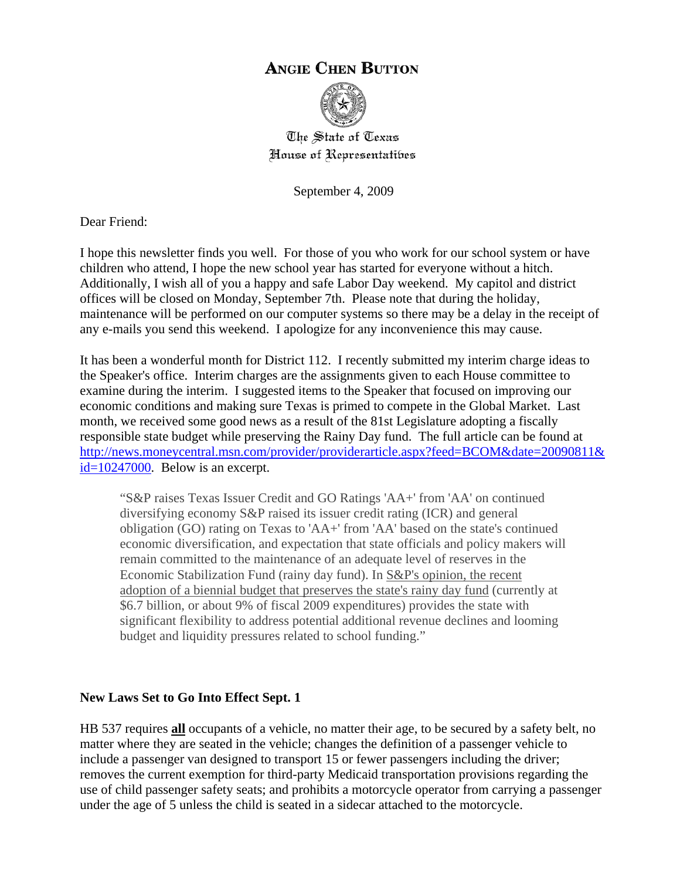# **ANGIE CHEN BUTTON**



The State of Texas House of Representatibes

September 4, 2009

Dear Friend:

I hope this newsletter finds you well. For those of you who work for our school system or have children who attend, I hope the new school year has started for everyone without a hitch. Additionally, I wish all of you a happy and safe Labor Day weekend. My capitol and district offices will be closed on Monday, September 7th. Please note that during the holiday, maintenance will be performed on our computer systems so there may be a delay in the receipt of any e-mails you send this weekend. I apologize for any inconvenience this may cause.

It has been a wonderful month for District 112. I recently submitted my interim charge ideas to the Speaker's office. Interim charges are the assignments given to each House committee to examine during the interim. I suggested items to the Speaker that focused on improving our economic conditions and making sure Texas is primed to compete in the Global Market. Last month, we received some good news as a result of the 81st Legislature adopting a fiscally responsible state budget while preserving the Rainy Day fund. The full article can be found at [http://news.moneycentral.msn.com/provider/providerarticle.aspx?feed=BCOM&date=20090811&](http://news.moneycentral.msn.com/provider/providerarticle.aspx?feed=BCOM&date=20090811&id=10247000) [id=10247000](http://news.moneycentral.msn.com/provider/providerarticle.aspx?feed=BCOM&date=20090811&id=10247000). Below is an excerpt.

"S&P raises Texas Issuer Credit and GO Ratings 'AA+' from 'AA' on continued diversifying economy S&P raised its issuer credit rating (ICR) and general obligation (GO) rating on Texas to 'AA+' from 'AA' based on the state's continued economic diversification, and expectation that state officials and policy makers will remain committed to the maintenance of an adequate level of reserves in the Economic Stabilization Fund (rainy day fund). In S&P's opinion, the recent adoption of a biennial budget that preserves the state's rainy day fund (currently at \$6.7 billion, or about 9% of fiscal 2009 expenditures) provides the state with significant flexibility to address potential additional revenue declines and looming budget and liquidity pressures related to school funding."

# **New Laws Set to Go Into Effect Sept. 1**

HB 537 requires **all** occupants of a vehicle, no matter their age, to be secured by a safety belt, no matter where they are seated in the vehicle; changes the definition of a passenger vehicle to include a passenger van designed to transport 15 or fewer passengers including the driver; removes the current exemption for third-party Medicaid transportation provisions regarding the use of child passenger safety seats; and prohibits a motorcycle operator from carrying a passenger under the age of 5 unless the child is seated in a sidecar attached to the motorcycle.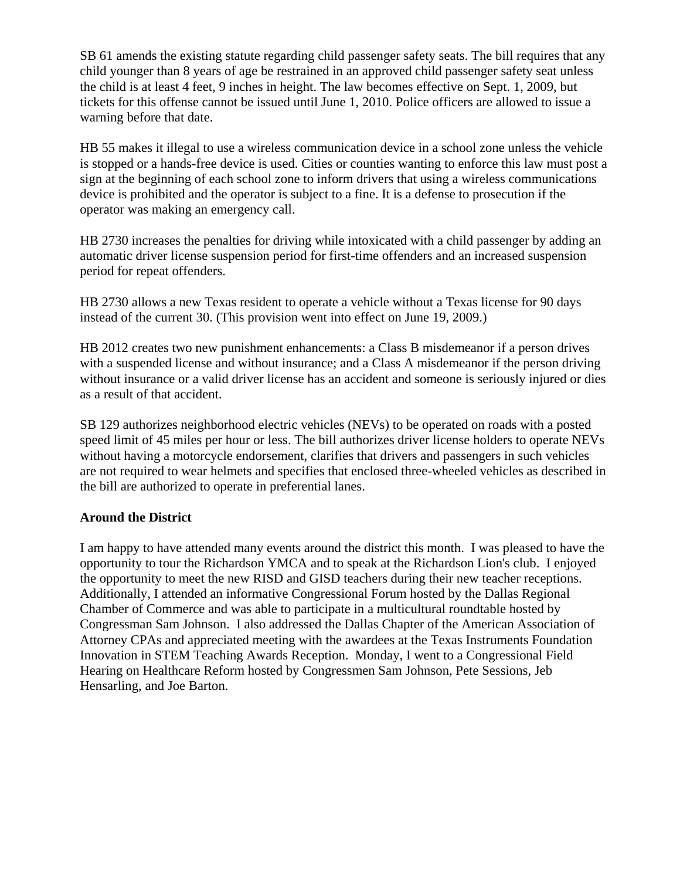SB 61 amends the existing statute regarding child passenger safety seats. The bill requires that any child younger than 8 years of age be restrained in an approved child passenger safety seat unless the child is at least 4 feet, 9 inches in height. The law becomes effective on Sept. 1, 2009, but tickets for this offense cannot be issued until June 1, 2010. Police officers are allowed to issue a warning before that date.

HB 55 makes it illegal to use a wireless communication device in a school zone unless the vehicle is stopped or a hands-free device is used. Cities or counties wanting to enforce this law must post a sign at the beginning of each school zone to inform drivers that using a wireless communications device is prohibited and the operator is subject to a fine. It is a defense to prosecution if the operator was making an emergency call.

HB 2730 increases the penalties for driving while intoxicated with a child passenger by adding an automatic driver license suspension period for first-time offenders and an increased suspension period for repeat offenders.

HB 2730 allows a new Texas resident to operate a vehicle without a Texas license for 90 days instead of the current 30. (This provision went into effect on June 19, 2009.)

HB 2012 creates two new punishment enhancements: a Class B misdemeanor if a person drives with a suspended license and without insurance; and a Class A misdemeanor if the person driving without insurance or a valid driver license has an accident and someone is seriously injured or dies as a result of that accident.

SB 129 authorizes neighborhood electric vehicles (NEVs) to be operated on roads with a posted speed limit of 45 miles per hour or less. The bill authorizes driver license holders to operate NEVs without having a motorcycle endorsement, clarifies that drivers and passengers in such vehicles are not required to wear helmets and specifies that enclosed three-wheeled vehicles as described in the bill are authorized to operate in preferential lanes.

# **Around the District**

I am happy to have attended many events around the district this month. I was pleased to have the opportunity to tour the Richardson YMCA and to speak at the Richardson Lion's club. I enjoyed the opportunity to meet the new RISD and GISD teachers during their new teacher receptions. Additionally, I attended an informative Congressional Forum hosted by the Dallas Regional Chamber of Commerce and was able to participate in a multicultural roundtable hosted by Congressman Sam Johnson. I also addressed the Dallas Chapter of the American Association of Attorney CPAs and appreciated meeting with the awardees at the Texas Instruments Foundation Innovation in STEM Teaching Awards Reception. Monday, I went to a Congressional Field Hearing on Healthcare Reform hosted by Congressmen Sam Johnson, Pete Sessions, Jeb Hensarling, and Joe Barton.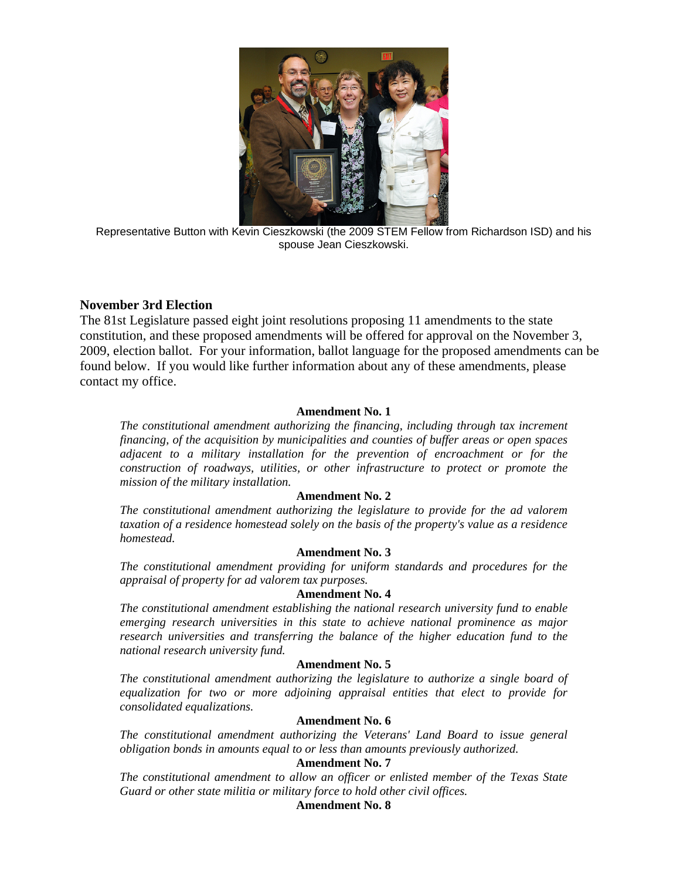

Representative Button with Kevin Cieszkowski (the 2009 STEM Fellow from Richardson ISD) and his spouse Jean Cieszkowski.

# **November 3rd Election**

The 81st Legislature passed eight joint resolutions proposing 11 amendments to the state constitution, and these proposed amendments will be offered for approval on the November 3, 2009, election ballot. For your information, ballot language for the proposed amendments can be found below. If you would like further information about any of these amendments, please contact my office.

# **Amendment No. 1**

*The constitutional amendment authorizing the financing, including through tax increment financing, of the acquisition by municipalities and counties of buffer areas or open spaces adjacent to a military installation for the prevention of encroachment or for the construction of roadways, utilities, or other infrastructure to protect or promote the mission of the military installation.* 

## **Amendment No. 2**

*The constitutional amendment authorizing the legislature to provide for the ad valorem taxation of a residence homestead solely on the basis of the property's value as a residence homestead.* 

## **Amendment No. 3**

*The constitutional amendment providing for uniform standards and procedures for the appraisal of property for ad valorem tax purposes.* 

## **Amendment No. 4**

*The constitutional amendment establishing the national research university fund to enable emerging research universities in this state to achieve national prominence as major research universities and transferring the balance of the higher education fund to the national research university fund.* 

# **Amendment No. 5**

*The constitutional amendment authorizing the legislature to authorize a single board of equalization for two or more adjoining appraisal entities that elect to provide for consolidated equalizations.* 

## **Amendment No. 6**

*The constitutional amendment authorizing the Veterans' Land Board to issue general obligation bonds in amounts equal to or less than amounts previously authorized.* 

# **Amendment No. 7**

*The constitutional amendment to allow an officer or enlisted member of the Texas State Guard or other state militia or military force to hold other civil offices.* 

# **Amendment No. 8**